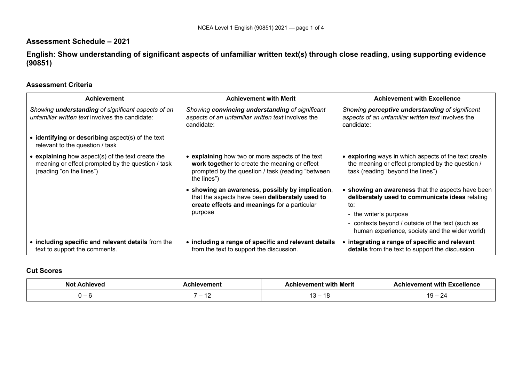# **Assessment Schedule – 2021**

**English: Show understanding of significant aspects of unfamiliar written text(s) through close reading, using supporting evidence (90851)**

## **Assessment Criteria**

| <b>Achievement</b>                                                                                                                 | <b>Achievement with Merit</b>                                                                                                                                       | <b>Achievement with Excellence</b>                                                                                                                                                                                                        |
|------------------------------------------------------------------------------------------------------------------------------------|---------------------------------------------------------------------------------------------------------------------------------------------------------------------|-------------------------------------------------------------------------------------------------------------------------------------------------------------------------------------------------------------------------------------------|
| Showing <b>understanding</b> of significant aspects of an<br>unfamiliar written text involves the candidate:                       | Showing convincing understanding of significant<br>aspects of an unfamiliar written text involves the<br>candidate:                                                 | Showing <b>perceptive understanding</b> of significant<br>aspects of an unfamiliar written text involves the<br>candidate:                                                                                                                |
| $\bullet$ identifying or describing aspect(s) of the text<br>relevant to the question / task                                       |                                                                                                                                                                     |                                                                                                                                                                                                                                           |
| • explaining how aspect(s) of the text create the<br>meaning or effect prompted by the question / task<br>(reading "on the lines") | explaining how two or more aspects of the text<br>work together to create the meaning or effect<br>prompted by the question / task (reading "between<br>the lines") | • exploring ways in which aspects of the text create<br>the meaning or effect prompted by the question /<br>task (reading "beyond the lines")                                                                                             |
|                                                                                                                                    | showing an awareness, possibly by implication,<br>that the aspects have been deliberately used to<br>create effects and meanings for a particular<br>purpose        | • showing an awareness that the aspects have been<br>deliberately used to communicate ideas relating<br>to:<br>- the writer's purpose<br>contexts beyond / outside of the text (such as<br>human experience, society and the wider world) |
| • including specific and relevant details from the<br>text to support the comments.                                                | • including a range of specific and relevant details<br>from the text to support the discussion.                                                                    | • integrating a range of specific and relevant<br><b>details</b> from the text to support the discussion.                                                                                                                                 |

## **Cut Scores**

|                               | Merit<br>with<br>וחמו | $M$ aman.<br>-xcellence<br>with |  |
|-------------------------------|-----------------------|---------------------------------|--|
| -<br>$\overline{\phantom{a}}$ | <b>AC</b>             | $\overline{A}$<br>. .<br>-      |  |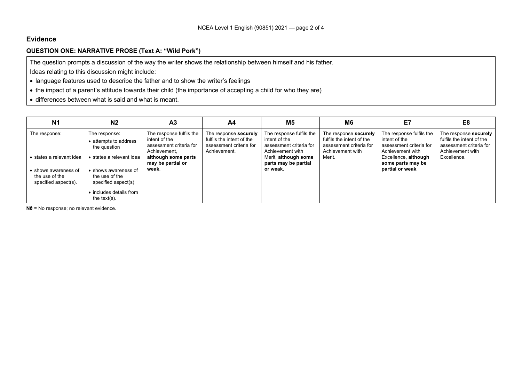## **Evidence**

## **QUESTION ONE: NARRATIVE PROSE (Text A: "Wild Pork")**

The question prompts a discussion of the way the writer shows the relationship between himself and his father.

Ideas relating to this discussion might include:

- language features used to describe the father and to show the writer's feelings
- the impact of a parent's attitude towards their child (the importance of accepting a child for who they are)
- differences between what is said and what is meant.

| <b>N1</b>                                                      | N <sub>2</sub>                                                | A <sub>3</sub>                                                                       | A4                                                                                            | M5                                                                                       | M <sub>6</sub>                                                                                    | E7                                                                                       | E8                                                                                                |
|----------------------------------------------------------------|---------------------------------------------------------------|--------------------------------------------------------------------------------------|-----------------------------------------------------------------------------------------------|------------------------------------------------------------------------------------------|---------------------------------------------------------------------------------------------------|------------------------------------------------------------------------------------------|---------------------------------------------------------------------------------------------------|
| The response:                                                  | The response:<br>• attempts to address<br>the question        | The response fulfils the<br>intent of the<br>assessment criteria for<br>Achievement. | The response securely<br>fulfils the intent of the<br>assessment criteria for<br>Achievement. | The response fulfils the<br>intent of the<br>assessment criteria for<br>Achievement with | The response securely<br>fulfils the intent of the<br>assessment criteria for<br>Achievement with | The response fulfils the<br>intent of the<br>assessment criteria for<br>Achievement with | The response securely<br>fulfils the intent of the<br>assessment criteria for<br>Achievement with |
| • states a relevant idea                                       | states a relevant idea                                        | although some parts<br>may be partial or<br>weak.                                    |                                                                                               | Merit, although some<br>parts may be partial<br>or weak.                                 | Merit.                                                                                            | Excellence, although<br>some parts may be<br>partial or weak.                            | Excellence.                                                                                       |
| • shows awareness of<br>the use of the<br>specified aspect(s). | • shows awareness of<br>the use of the<br>specified aspect(s) |                                                                                      |                                                                                               |                                                                                          |                                                                                                   |                                                                                          |                                                                                                   |
|                                                                | • includes details from<br>the text $(s)$ .                   |                                                                                      |                                                                                               |                                                                                          |                                                                                                   |                                                                                          |                                                                                                   |

**N0** = No response; no relevant evidence.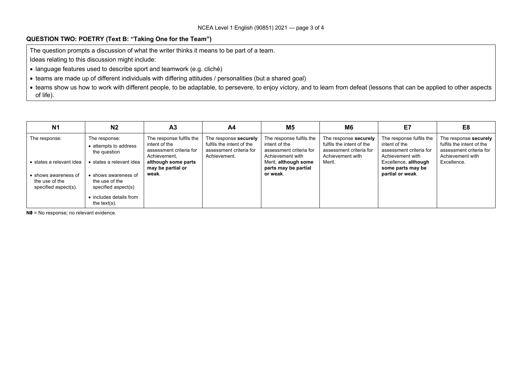## **QUESTION TWO: POETRY (Text B: "Taking One for the Team")**

The question prompts a discussion of what the writer thinks it means to be part of a team.

Ideas relating to this discussion might include:

- language features used to describe sport and teamwork (e.g. cliché)
- teams are made up of different individuals with differing attitudes / personalities (but a shared goal)
- teams show us how to work with different people, to be adaptable, to persevere, to enjoy victory, and to learn from defeat (lessons that can be applied to other aspects of life).

| <b>N1</b>                                        | N <sub>2</sub>                                         | A <sub>3</sub>                                                                       | A4                                                                                            | <b>M5</b>                                                                                | M6                                                                                                | E7                                                                                       | E8                                                                                                |
|--------------------------------------------------|--------------------------------------------------------|--------------------------------------------------------------------------------------|-----------------------------------------------------------------------------------------------|------------------------------------------------------------------------------------------|---------------------------------------------------------------------------------------------------|------------------------------------------------------------------------------------------|---------------------------------------------------------------------------------------------------|
| The response:                                    | The response:<br>• attempts to address<br>the question | The response fulfils the<br>intent of the<br>assessment criteria for<br>Achievement. | The response securely<br>fulfils the intent of the<br>assessment criteria for<br>Achievement. | The response fulfils the<br>intent of the<br>assessment criteria for<br>Achievement with | The response securely<br>fulfils the intent of the<br>assessment criteria for<br>Achievement with | The response fulfils the<br>intent of the<br>assessment criteria for<br>Achievement with | The response securely<br>fulfils the intent of the<br>assessment criteria for<br>Achievement with |
| • states a relevant idea<br>• shows awareness of | states a relevant idea<br>• shows awareness of         | although some parts<br>may be partial or<br>weak.                                    |                                                                                               | Merit, although some<br>parts may be partial<br>or weak.                                 | Merit.                                                                                            | Excellence, although<br>some parts may be<br>partial or weak.                            | Excellence.                                                                                       |
| the use of the<br>specified aspect(s).           | the use of the<br>specified aspect(s)                  |                                                                                      |                                                                                               |                                                                                          |                                                                                                   |                                                                                          |                                                                                                   |
|                                                  | • includes details from<br>the text( $s$ ).            |                                                                                      |                                                                                               |                                                                                          |                                                                                                   |                                                                                          |                                                                                                   |

**N0** = No response; no relevant evidence.